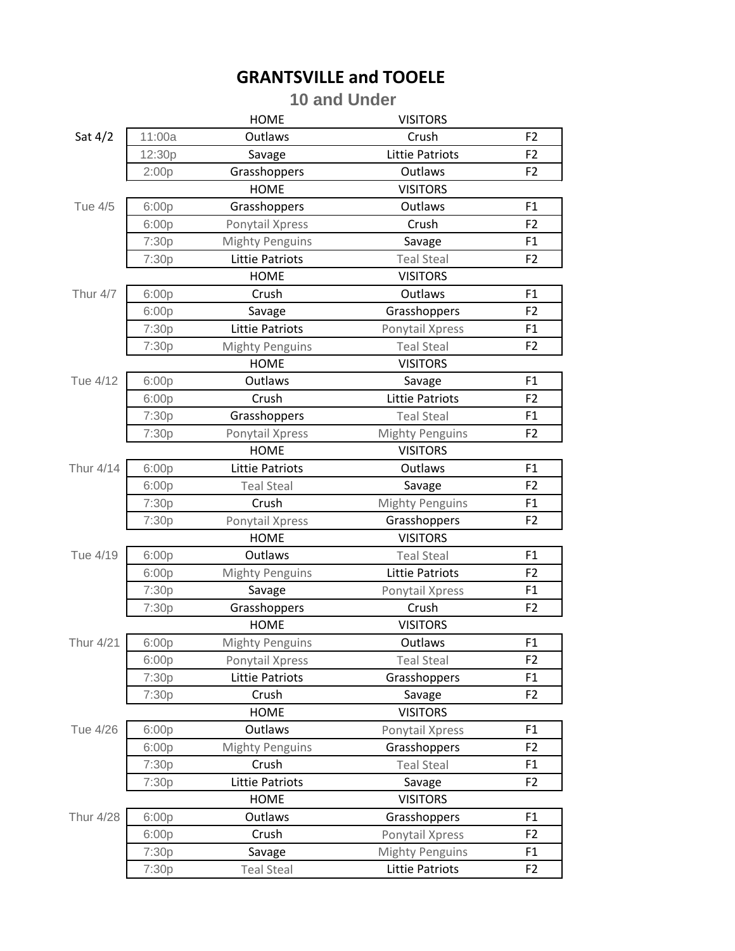## **GRANTSVILLE and TOOELE**

## **10 and Under**

|                  |        | <b>HOME</b>            | <b>VISITORS</b>        |                |
|------------------|--------|------------------------|------------------------|----------------|
| Sat $4/2$        | 11:00a | Outlaws                | Crush                  | F <sub>2</sub> |
|                  | 12:30p | Savage                 | <b>Littie Patriots</b> | F <sub>2</sub> |
|                  | 2:00p  | Grasshoppers           | Outlaws                | F <sub>2</sub> |
|                  |        | <b>HOME</b>            | <b>VISITORS</b>        |                |
| Tue 4/5          | 6:00p  | Grasshoppers           | Outlaws                | F1             |
|                  | 6:00p  | Ponytail Xpress        | Crush                  | F <sub>2</sub> |
|                  | 7:30p  | <b>Mighty Penguins</b> | Savage                 | F1             |
|                  | 7:30p  | <b>Littie Patriots</b> | <b>Teal Steal</b>      | F <sub>2</sub> |
|                  |        | <b>HOME</b>            | <b>VISITORS</b>        |                |
| Thur 4/7         | 6:00p  | Crush                  | Outlaws                | F1             |
|                  | 6:00p  | Savage                 | Grasshoppers           | F <sub>2</sub> |
|                  | 7:30p  | <b>Littie Patriots</b> | Ponytail Xpress        | F1             |
|                  | 7:30p  | <b>Mighty Penguins</b> | <b>Teal Steal</b>      | F <sub>2</sub> |
|                  |        | <b>HOME</b>            | <b>VISITORS</b>        |                |
| Tue 4/12         | 6:00p  | Outlaws                | Savage                 | F1             |
|                  | 6:00p  | Crush                  | <b>Littie Patriots</b> | F <sub>2</sub> |
|                  | 7:30p  | Grasshoppers           | <b>Teal Steal</b>      | F1             |
|                  | 7:30p  | Ponytail Xpress        | <b>Mighty Penguins</b> | F <sub>2</sub> |
|                  |        | <b>HOME</b>            | <b>VISITORS</b>        |                |
| Thur 4/14        | 6:00p  | <b>Littie Patriots</b> | Outlaws                | F <sub>1</sub> |
|                  | 6:00p  | <b>Teal Steal</b>      | Savage                 | F <sub>2</sub> |
|                  | 7:30p  | Crush                  | <b>Mighty Penguins</b> | F1             |
|                  | 7:30p  | Ponytail Xpress        | Grasshoppers           | F <sub>2</sub> |
|                  |        | <b>HOME</b>            | <b>VISITORS</b>        |                |
| Tue 4/19         | 6:00p  | Outlaws                | <b>Teal Steal</b>      | F <sub>1</sub> |
|                  | 6:00p  | <b>Mighty Penguins</b> | <b>Littie Patriots</b> | F <sub>2</sub> |
|                  | 7:30p  | Savage                 | Ponytail Xpress        | F1             |
|                  | 7:30p  | Grasshoppers           | Crush                  | F <sub>2</sub> |
|                  |        | <b>HOME</b>            | <b>VISITORS</b>        |                |
| <b>Thur 4/21</b> | 6:00p  | <b>Mighty Penguins</b> | Outlaws                | F1             |
|                  | 6:00p  | Ponytail Xpress        | <b>Teal Steal</b>      | F <sub>2</sub> |
|                  | 7:30p  | <b>Littie Patriots</b> | Grasshoppers           | F1             |
|                  | 7:30p  | Crush                  | Savage                 | F <sub>2</sub> |
|                  |        | <b>HOME</b>            | <b>VISITORS</b>        |                |
| Tue 4/26         | 6:00p  | Outlaws                | Ponytail Xpress        | F1             |
|                  | 6:00p  | <b>Mighty Penguins</b> | Grasshoppers           | F <sub>2</sub> |
|                  | 7:30p  | Crush                  | <b>Teal Steal</b>      | F1             |
|                  | 7:30p  | <b>Littie Patriots</b> | Savage                 | F <sub>2</sub> |
|                  |        | <b>HOME</b>            | <b>VISITORS</b>        |                |
| <b>Thur 4/28</b> | 6:00p  | Outlaws                | Grasshoppers           | F1             |
|                  | 6:00p  | Crush                  | Ponytail Xpress        | F <sub>2</sub> |
|                  | 7:30p  | Savage                 | <b>Mighty Penguins</b> | F1             |
|                  | 7:30p  | <b>Teal Steal</b>      | <b>Littie Patriots</b> | F <sub>2</sub> |
|                  |        |                        |                        |                |